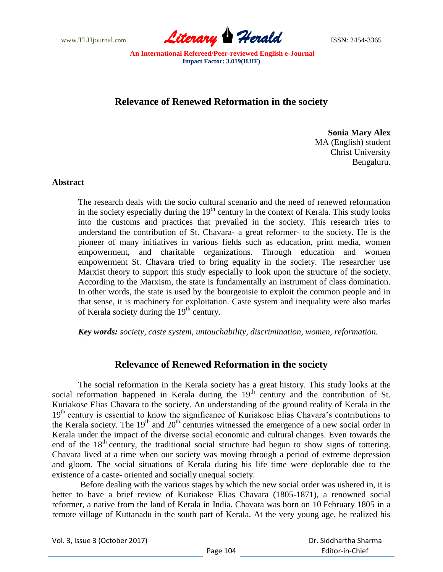

## **Relevance of Renewed Reformation in the society**

**Sonia Mary Alex** MA (English) student Christ University Bengaluru.

## **Abstract**

The research deals with the socio cultural scenario and the need of renewed reformation in the society especially during the  $19<sup>th</sup>$  century in the context of Kerala. This study looks into the customs and practices that prevailed in the society. This research tries to understand the contribution of St. Chavara- a great reformer- to the society. He is the pioneer of many initiatives in various fields such as education, print media, women empowerment, and charitable organizations. Through education and women empowerment St. Chavara tried to bring equality in the society. The researcher use Marxist theory to support this study especially to look upon the structure of the society. According to the Marxism, the state is fundamentally an instrument of class domination. In other words, the state is used by the bourgeoisie to exploit the common people and in that sense, it is machinery for exploitation. Caste system and inequality were also marks of Kerala society during the  $19<sup>th</sup>$  century.

*Key words: society, caste system, untouchability, discrimination, women, reformation.* 

## **Relevance of Renewed Reformation in the society**

The social reformation in the Kerala society has a great history. This study looks at the social reformation happened in Kerala during the  $19<sup>th</sup>$  century and the contribution of St. Kuriakose Elias Chavara to the society. An understanding of the ground reality of Kerala in the  $19<sup>th</sup>$  century is essential to know the significance of Kuriakose Elias Chavara's contributions to the Kerala society. The  $19<sup>th</sup>$  and  $20<sup>th</sup>$  centuries witnessed the emergence of a new social order in Kerala under the impact of the diverse social economic and cultural changes. Even towards the end of the  $18<sup>th</sup>$  century, the traditional social structure had begun to show signs of tottering. Chavara lived at a time when our society was moving through a period of extreme depression and gloom. The social situations of Kerala during his life time were deplorable due to the existence of a caste- oriented and socially unequal society.

Before dealing with the various stages by which the new social order was ushered in, it is better to have a brief review of Kuriakose Elias Chavara (1805-1871), a renowned social reformer, a native from the land of Kerala in India. Chavara was born on 10 February 1805 in a remote village of Kuttanadu in the south part of Kerala. At the very young age, he realized his

Vol. 3, Issue 3 (October 2017)

 Dr. Siddhartha Sharma Editor-in-Chief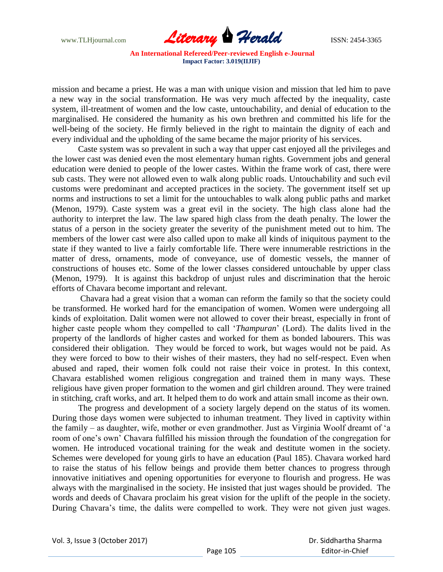

mission and became a priest. He was a man with unique vision and mission that led him to pave a new way in the social transformation. He was very much affected by the inequality, caste system, ill-treatment of women and the low caste, untouchability, and denial of education to the marginalised. He considered the humanity as his own brethren and committed his life for the well-being of the society. He firmly believed in the right to maintain the dignity of each and every individual and the upholding of the same became the major priority of his services.

Caste system was so prevalent in such a way that upper cast enjoyed all the privileges and the lower cast was denied even the most elementary human rights. Government jobs and general education were denied to people of the lower castes. Within the frame work of cast, there were sub casts. They were not allowed even to walk along public roads. Untouchability and such evil customs were predominant and accepted practices in the society. The government itself set up norms and instructions to set a limit for the untouchables to walk along public paths and market (Menon, 1979). Caste system was a great evil in the society. The high class alone had the authority to interpret the law. The law spared high class from the death penalty. The lower the status of a person in the society greater the severity of the punishment meted out to him. The members of the lower cast were also called upon to make all kinds of iniquitous payment to the state if they wanted to live a fairly comfortable life. There were innumerable restrictions in the matter of dress, ornaments, mode of conveyance, use of domestic vessels, the manner of constructions of houses etc. Some of the lower classes considered untouchable by upper class (Menon, 1979). It is against this backdrop of unjust rules and discrimination that the heroic efforts of Chavara become important and relevant.

Chavara had a great vision that a woman can reform the family so that the society could be transformed. He worked hard for the emancipation of women. Women were undergoing all kinds of exploitation. Dalit women were not allowed to cover their breast, especially in front of higher caste people whom they compelled to call "*Thampuran*" (Lord). The dalits lived in the property of the landlords of higher castes and worked for them as bonded labourers. This was considered their obligation. They would be forced to work, but wages would not be paid. As they were forced to bow to their wishes of their masters, they had no self-respect. Even when abused and raped, their women folk could not raise their voice in protest. In this context, Chavara established women religious congregation and trained them in many ways. These religious have given proper formation to the women and girl children around. They were trained in stitching, craft works, and art. It helped them to do work and attain small income as their own.

The progress and development of a society largely depend on the status of its women. During those days women were subjected to inhuman treatment. They lived in captivity within the family – as daughter, wife, mother or even grandmother. Just as Virginia Woolf dreamt of "a room of one"s own" Chavara fulfilled his mission through the foundation of the congregation for women. He introduced vocational training for the weak and destitute women in the society. Schemes were developed for young girls to have an education (Paul 185). Chavara worked hard to raise the status of his fellow beings and provide them better chances to progress through innovative initiatives and opening opportunities for everyone to flourish and progress. He was always with the marginalised in the society. He insisted that just wages should be provided. The words and deeds of Chavara proclaim his great vision for the uplift of the people in the society. During Chavara's time, the dalits were compelled to work. They were not given just wages.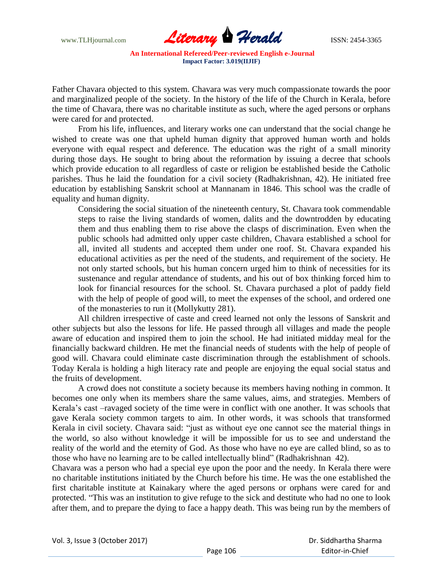

Father Chavara objected to this system. Chavara was very much compassionate towards the poor and marginalized people of the society. In the history of the life of the Church in Kerala, before the time of Chavara, there was no charitable institute as such, where the aged persons or orphans were cared for and protected.

From his life, influences, and literary works one can understand that the social change he wished to create was one that upheld human dignity that approved human worth and holds everyone with equal respect and deference. The education was the right of a small minority during those days. He sought to bring about the reformation by issuing a decree that schools which provide education to all regardless of caste or religion be established beside the Catholic parishes. Thus he laid the foundation for a civil society (Radhakrishnan, 42). He initiated free education by establishing Sanskrit school at Mannanam in 1846. This school was the cradle of equality and human dignity.

Considering the social situation of the nineteenth century, St. Chavara took commendable steps to raise the living standards of women, dalits and the downtrodden by educating them and thus enabling them to rise above the clasps of discrimination. Even when the public schools had admitted only upper caste children, Chavara established a school for all, invited all students and accepted them under one roof. St. Chavara expanded his educational activities as per the need of the students, and requirement of the society. He not only started schools, but his human concern urged him to think of necessities for its sustenance and regular attendance of students, and his out of box thinking forced him to look for financial resources for the school. St. Chavara purchased a plot of paddy field with the help of people of good will, to meet the expenses of the school, and ordered one of the monasteries to run it (Mollykutty 281).

All children irrespective of caste and creed learned not only the lessons of Sanskrit and other subjects but also the lessons for life. He passed through all villages and made the people aware of education and inspired them to join the school. He had initiated midday meal for the financially backward children. He met the financial needs of students with the help of people of good will. Chavara could eliminate caste discrimination through the establishment of schools. Today Kerala is holding a high literacy rate and people are enjoying the equal social status and the fruits of development.

A crowd does not constitute a society because its members having nothing in common. It becomes one only when its members share the same values, aims, and strategies. Members of Kerala"s cast –ravaged society of the time were in conflict with one another. It was schools that gave Kerala society common targets to aim. In other words, it was schools that transformed Kerala in civil society. Chavara said: "just as without eye one cannot see the material things in the world, so also without knowledge it will be impossible for us to see and understand the reality of the world and the eternity of God. As those who have no eye are called blind, so as to those who have no learning are to be called intellectually blind" (Radhakrishnan 42).

Chavara was a person who had a special eye upon the poor and the needy. In Kerala there were no charitable institutions initiated by the Church before his time. He was the one established the first charitable institute at Kainakary where the aged persons or orphans were cared for and protected. "This was an institution to give refuge to the sick and destitute who had no one to look after them, and to prepare the dying to face a happy death. This was being run by the members of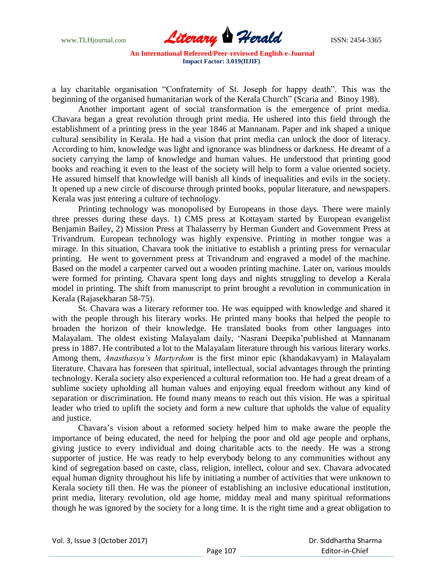www.TLHjournal.com **Literary Herald Herald ISSN: 2454-3365** 

a lay charitable organisation "Confraternity of St. Joseph for happy death". This was the beginning of the organised humanitarian work of the Kerala Church" (Scaria and Binoy 198).

Another important agent of social transformation is the emergence of print media. Chavara began a great revolution through print media. He ushered into this field through the establishment of a printing press in the year 1846 at Mannanam. Paper and ink shaped a unique cultural sensibility in Kerala. He had a vision that print media can unlock the door of literacy. According to him, knowledge was light and ignorance was blindness or darkness. He dreamt of a society carrying the lamp of knowledge and human values. He understood that printing good books and reaching it even to the least of the society will help to form a value oriented society. He assured himself that knowledge will banish all kinds of inequalities and evils in the society. It opened up a new circle of discourse through printed books, popular literature, and newspapers. Kerala was just entering a culture of technology.

Printing technology was monopolised by Europeans in those days. There were mainly three presses during these days. 1) CMS press at Kottayam started by European evangelist Benjamin Bailey, 2) Mission Press at Thalasserry by Herman Gundert and Government Press at Trivandrum. European technology was highly expensive. Printing in mother tongue was a mirage. In this situation, Chavara took the initiative to establish a printing press for vernacular printing. He went to government press at Trivandrum and engraved a model of the machine. Based on the model a carpenter carved out a wooden printing machine. Later on, various moulds were formed for printing. Chavara spent long days and nights struggling to develop a Kerala model in printing. The shift from manuscript to print brought a revolution in communication in Kerala (Rajasekharan 58-75).

St. Chavara was a literary reformer too. He was equipped with knowledge and shared it with the people through his literary works. He printed many books that helped the people to broaden the horizon of their knowledge. He translated books from other languages into Malayalam. The oldest existing Malayalam daily, "Nasrani Deepika"published at Mannanam press in 1887. He contributed a lot to the Malayalam literature through his various literary works. Among them, *Anasthasya's Martyrdom* is the first minor epic (khandakavyam) in Malayalam literature. Chavara has foreseen that spiritual, intellectual, social advantages through the printing technology. Kerala society also experienced a cultural reformation too. He had a great dream of a sublime society upholding all human values and enjoying equal freedom without any kind of separation or discrimination. He found many means to reach out this vision. He was a spiritual leader who tried to uplift the society and form a new culture that upholds the value of equality and justice.

Chavara"s vision about a reformed society helped him to make aware the people the importance of being educated, the need for helping the poor and old age people and orphans, giving justice to every individual and doing charitable acts to the needy. He was a strong supporter of justice. He was ready to help everybody belong to any communities without any kind of segregation based on caste, class, religion, intellect, colour and sex. Chavara advocated equal human dignity throughout his life by initiating a number of activities that were unknown to Kerala society till then. He was the pioneer of establishing an inclusive educational institution, print media, literary revolution, old age home, midday meal and many spiritual reformations though he was ignored by the society for a long time. It is the right time and a great obligation to